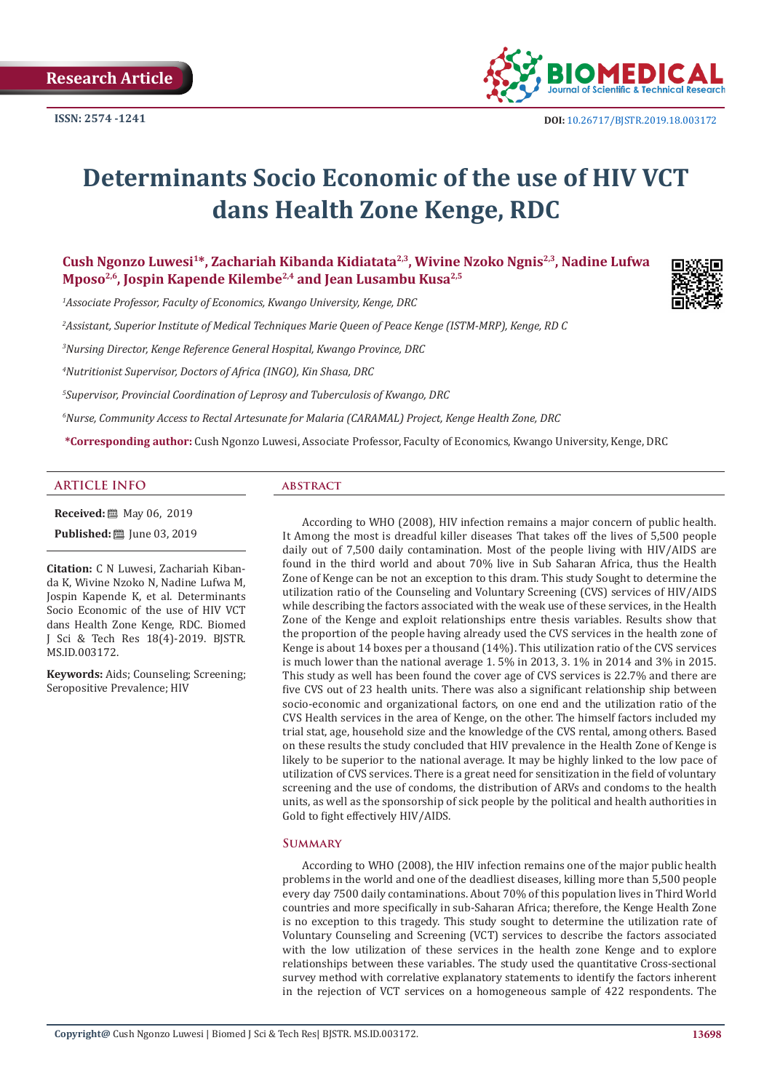

# **Determinants Socio Economic of the use of HIV VCT dans Health Zone Kenge, RDC**

Cush Ngonzo Luwesi<sup>1\*</sup>, Zachariah Kibanda Kidiatata<sup>2,3</sup>, Wivine Nzoko Ngnis<sup>2,3</sup>, Nadine Lufwa **Mposo2,6, Jospin Kapende Kilembe2,4 and Jean Lusambu Kusa2,5**

*1 Associate Professor, Faculty of Economics, Kwango University, Kenge, DRC* 

*2 Assistant, Superior Institute of Medical Techniques Marie Queen of Peace Kenge (ISTM-MRP), Kenge, RD C* 

*3 Nursing Director, Kenge Reference General Hospital, Kwango Province, DRC* 

*4 Nutritionist Supervisor, Doctors of Africa (INGO), Kin Shasa, DRC* 

*5 Supervisor, Provincial Coordination of Leprosy and Tuberculosis of Kwango, DRC* 

*6 Nurse, Community Access to Rectal Artesunate for Malaria (CARAMAL) Project, Kenge Health Zone, DRC* 

**\*Corresponding author:** Cush Ngonzo Luwesi, Associate Professor, Faculty of Economics, Kwango University, Kenge, DRC

#### **ARTICLE INFO abstract**

**Received:** ■ May 06, 2019

**Published:** ■ June 03, 2019

**Citation:** C N Luwesi, Zachariah Kibanda K, Wivine Nzoko N, Nadine Lufwa M, Jospin Kapende K, et al. Determinants Socio Economic of the use of HIV VCT dans Health Zone Kenge, RDC. Biomed J Sci & Tech Res 18(4)-2019. BJSTR. MS.ID.003172.

**Keywords:** Aids; Counseling; Screening; Seropositive Prevalence; HIV

According to WHO (2008), HIV infection remains a major concern of public health. It Among the most is dreadful killer diseases That takes off the lives of 5,500 people daily out of 7,500 daily contamination. Most of the people living with HIV/AIDS are found in the third world and about 70% live in Sub Saharan Africa, thus the Health Zone of Kenge can be not an exception to this dram. This study Sought to determine the utilization ratio of the Counseling and Voluntary Screening (CVS) services of HIV/AIDS while describing the factors associated with the weak use of these services, in the Health Zone of the Kenge and exploit relationships entre thesis variables. Results show that the proportion of the people having already used the CVS services in the health zone of Kenge is about 14 boxes per a thousand (14%). This utilization ratio of the CVS services is much lower than the national average 1. 5% in 2013, 3. 1% in 2014 and 3% in 2015. This study as well has been found the cover age of CVS services is 22.7% and there are five CVS out of 23 health units. There was also a significant relationship ship between socio-economic and organizational factors, on one end and the utilization ratio of the CVS Health services in the area of Kenge, on the other. The himself factors included my trial stat, age, household size and the knowledge of the CVS rental, among others. Based on these results the study concluded that HIV prevalence in the Health Zone of Kenge is likely to be superior to the national average. It may be highly linked to the low pace of utilization of CVS services. There is a great need for sensitization in the field of voluntary screening and the use of condoms, the distribution of ARVs and condoms to the health units, as well as the sponsorship of sick people by the political and health authorities in Gold to fight effectively HIV/AIDS.

# **Summary**

According to WHO (2008), the HIV infection remains one of the major public health problems in the world and one of the deadliest diseases, killing more than 5,500 people every day 7500 daily contaminations. About 70% of this population lives in Third World countries and more specifically in sub-Saharan Africa; therefore, the Kenge Health Zone is no exception to this tragedy. This study sought to determine the utilization rate of Voluntary Counseling and Screening (VCT) services to describe the factors associated with the low utilization of these services in the health zone Kenge and to explore relationships between these variables. The study used the quantitative Cross-sectional survey method with correlative explanatory statements to identify the factors inherent in the rejection of VCT services on a homogeneous sample of 422 respondents. The

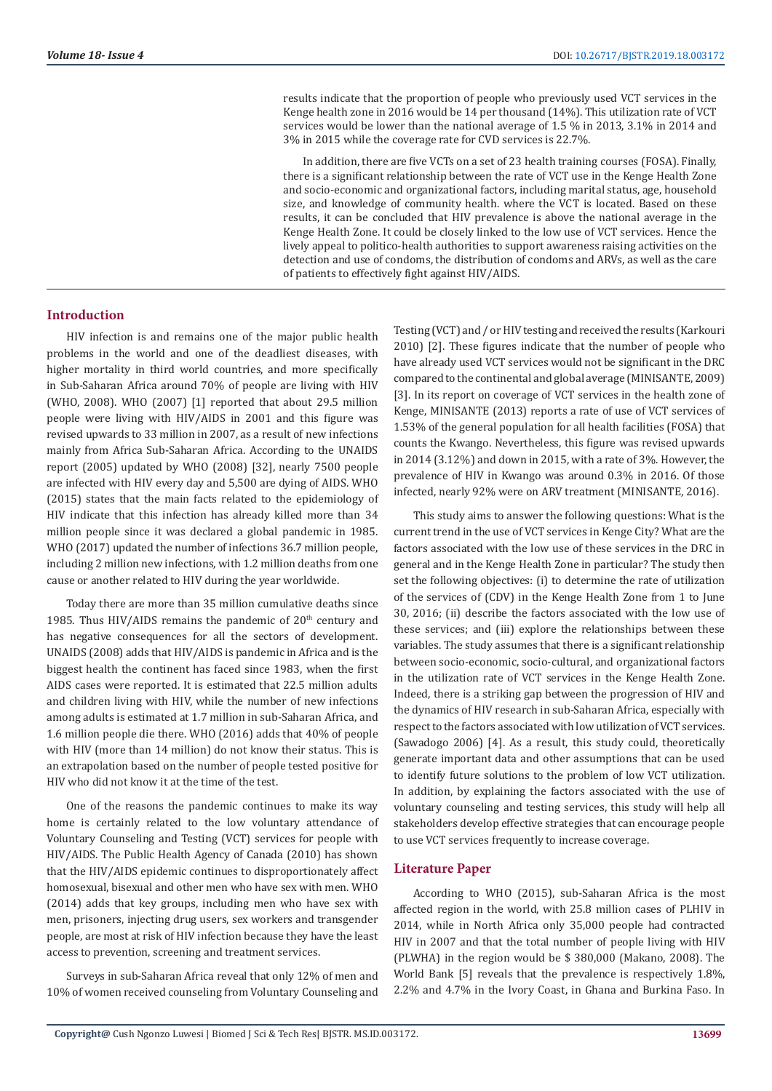results indicate that the proportion of people who previously used VCT services in the Kenge health zone in 2016 would be 14 per thousand (14%). This utilization rate of VCT services would be lower than the national average of 1.5 % in 2013, 3.1% in 2014 and 3% in 2015 while the coverage rate for CVD services is 22.7%.

In addition, there are five VCTs on a set of 23 health training courses (FOSA). Finally, there is a significant relationship between the rate of VCT use in the Kenge Health Zone and socio-economic and organizational factors, including marital status, age, household size, and knowledge of community health. where the VCT is located. Based on these results, it can be concluded that HIV prevalence is above the national average in the Kenge Health Zone. It could be closely linked to the low use of VCT services. Hence the lively appeal to politico-health authorities to support awareness raising activities on the detection and use of condoms, the distribution of condoms and ARVs, as well as the care of patients to effectively fight against HIV/AIDS.

### **Introduction**

HIV infection is and remains one of the major public health problems in the world and one of the deadliest diseases, with higher mortality in third world countries, and more specifically in Sub-Saharan Africa around 70% of people are living with HIV (WHO, 2008). WHO (2007) [1] reported that about 29.5 million people were living with HIV/AIDS in 2001 and this figure was revised upwards to 33 million in 2007, as a result of new infections mainly from Africa Sub-Saharan Africa. According to the UNAIDS report (2005) updated by WHO (2008) [32], nearly 7500 people are infected with HIV every day and 5,500 are dying of AIDS. WHO (2015) states that the main facts related to the epidemiology of HIV indicate that this infection has already killed more than 34 million people since it was declared a global pandemic in 1985. WHO (2017) updated the number of infections 36.7 million people, including 2 million new infections, with 1.2 million deaths from one cause or another related to HIV during the year worldwide.

Today there are more than 35 million cumulative deaths since 1985. Thus HIV/AIDS remains the pandemic of  $20<sup>th</sup>$  century and has negative consequences for all the sectors of development. UNAIDS (2008) adds that HIV/AIDS is pandemic in Africa and is the biggest health the continent has faced since 1983, when the first AIDS cases were reported. It is estimated that 22.5 million adults and children living with HIV, while the number of new infections among adults is estimated at 1.7 million in sub-Saharan Africa, and 1.6 million people die there. WHO (2016) adds that 40% of people with HIV (more than 14 million) do not know their status. This is an extrapolation based on the number of people tested positive for HIV who did not know it at the time of the test.

One of the reasons the pandemic continues to make its way home is certainly related to the low voluntary attendance of Voluntary Counseling and Testing (VCT) services for people with HIV/AIDS. The Public Health Agency of Canada (2010) has shown that the HIV/AIDS epidemic continues to disproportionately affect homosexual, bisexual and other men who have sex with men. WHO (2014) adds that key groups, including men who have sex with men, prisoners, injecting drug users, sex workers and transgender people, are most at risk of HIV infection because they have the least access to prevention, screening and treatment services.

Surveys in sub-Saharan Africa reveal that only 12% of men and 10% of women received counseling from Voluntary Counseling and Testing (VCT) and / or HIV testing and received the results (Karkouri 2010) [2]. These figures indicate that the number of people who have already used VCT services would not be significant in the DRC compared to the continental and global average (MINISANTE, 2009) [3]. In its report on coverage of VCT services in the health zone of Kenge, MINISANTE (2013) reports a rate of use of VCT services of 1.53% of the general population for all health facilities (FOSA) that counts the Kwango. Nevertheless, this figure was revised upwards in 2014 (3.12%) and down in 2015, with a rate of 3%. However, the prevalence of HIV in Kwango was around 0.3% in 2016. Of those infected, nearly 92% were on ARV treatment (MINISANTE, 2016).

This study aims to answer the following questions: What is the current trend in the use of VCT services in Kenge City? What are the factors associated with the low use of these services in the DRC in general and in the Kenge Health Zone in particular? The study then set the following objectives: (i) to determine the rate of utilization of the services of (CDV) in the Kenge Health Zone from 1 to June 30, 2016; (ii) describe the factors associated with the low use of these services; and (iii) explore the relationships between these variables. The study assumes that there is a significant relationship between socio-economic, socio-cultural, and organizational factors in the utilization rate of VCT services in the Kenge Health Zone. Indeed, there is a striking gap between the progression of HIV and the dynamics of HIV research in sub-Saharan Africa, especially with respect to the factors associated with low utilization of VCT services. (Sawadogo 2006) [4]. As a result, this study could, theoretically generate important data and other assumptions that can be used to identify future solutions to the problem of low VCT utilization. In addition, by explaining the factors associated with the use of voluntary counseling and testing services, this study will help all stakeholders develop effective strategies that can encourage people to use VCT services frequently to increase coverage.

# **Literature Paper**

According to WHO (2015), sub-Saharan Africa is the most affected region in the world, with 25.8 million cases of PLHIV in 2014, while in North Africa only 35,000 people had contracted HIV in 2007 and that the total number of people living with HIV (PLWHA) in the region would be \$ 380,000 (Makano, 2008). The World Bank [5] reveals that the prevalence is respectively 1.8%, 2.2% and 4.7% in the Ivory Coast, in Ghana and Burkina Faso. In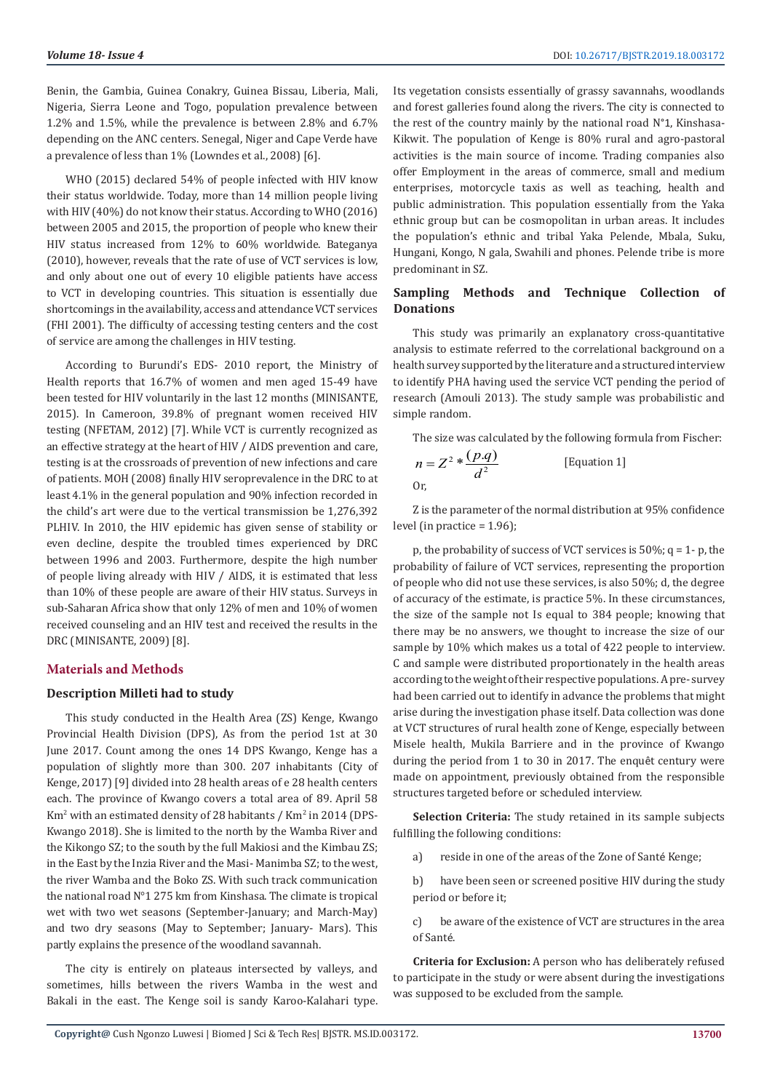Benin, the Gambia, Guinea Conakry, Guinea Bissau, Liberia, Mali, Nigeria, Sierra Leone and Togo, population prevalence between 1.2% and 1.5%, while the prevalence is between 2.8% and 6.7% depending on the ANC centers. Senegal, Niger and Cape Verde have a prevalence of less than 1% (Lowndes et al., 2008) [6].

WHO (2015) declared 54% of people infected with HIV know their status worldwide. Today, more than 14 million people living with HIV (40%) do not know their status. According to WHO (2016) between 2005 and 2015, the proportion of people who knew their HIV status increased from 12% to 60% worldwide. Bateganya (2010), however, reveals that the rate of use of VCT services is low, and only about one out of every 10 eligible patients have access to VCT in developing countries. This situation is essentially due shortcomings in the availability, access and attendance VCT services (FHI 2001). The difficulty of accessing testing centers and the cost of service are among the challenges in HIV testing.

According to Burundi's EDS- 2010 report, the Ministry of Health reports that 16.7% of women and men aged 15-49 have been tested for HIV voluntarily in the last 12 months (MINISANTE, 2015). In Cameroon, 39.8% of pregnant women received HIV testing (NFETAM, 2012) [7]. While VCT is currently recognized as an effective strategy at the heart of HIV / AIDS prevention and care, testing is at the crossroads of prevention of new infections and care of patients. MOH (2008) finally HIV seroprevalence in the DRC to at least 4.1% in the general population and 90% infection recorded in the child's art were due to the vertical transmission be 1,276,392 PLHIV. In 2010, the HIV epidemic has given sense of stability or even decline, despite the troubled times experienced by DRC between 1996 and 2003. Furthermore, despite the high number of people living already with HIV / AIDS, it is estimated that less than 10% of these people are aware of their HIV status. Surveys in sub-Saharan Africa show that only 12% of men and 10% of women received counseling and an HIV test and received the results in the DRC (MINISANTE, 2009) [8].

#### **Materials and Methods**

#### **Description Milleti had to study**

This study conducted in the Health Area (ZS) Kenge, Kwango Provincial Health Division (DPS), As from the period 1st at 30 June 2017. Count among the ones 14 DPS Kwango, Kenge has a population of slightly more than 300. 207 inhabitants (City of Kenge, 2017) [9] divided into 28 health areas of e 28 health centers each. The province of Kwango covers a total area of 89. April 58  $\rm{Km^2}$  with an estimated density of 28 habitants /  $\rm{Km^2}$  in 2014 (DPS-Kwango 2018). She is limited to the north by the Wamba River and the Kikongo SZ; to the south by the full Makiosi and the Kimbau ZS; in the East by the Inzia River and the Masi- Manimba SZ; to the west, the river Wamba and the Boko ZS. With such track communication the national road N°1 275 km from Kinshasa. The climate is tropical wet with two wet seasons (September-January; and March-May) and two dry seasons (May to September; January- Mars). This partly explains the presence of the woodland savannah.

The city is entirely on plateaus intersected by valleys, and sometimes, hills between the rivers Wamba in the west and Bakali in the east. The Kenge soil is sandy Karoo-Kalahari type.

Its vegetation consists essentially of grassy savannahs, woodlands and forest galleries found along the rivers. The city is connected to the rest of the country mainly by the national road N°1, Kinshasa-Kikwit. The population of Kenge is 80% rural and agro-pastoral activities is the main source of income. Trading companies also offer Employment in the areas of commerce, small and medium enterprises, motorcycle taxis as well as teaching, health and public administration. This population essentially from the Yaka ethnic group but can be cosmopolitan in urban areas. It includes the population's ethnic and tribal Yaka Pelende, Mbala, Suku, Hungani, Kongo, N gala, Swahili and phones. Pelende tribe is more predominant in SZ.

# **Sampling Methods and Technique Collection of Donations**

This study was primarily an explanatory cross-quantitative analysis to estimate referred to the correlational background on a health survey supported by the literature and a structured interview to identify PHA having used the service VCT pending the period of research (Amouli 2013). The study sample was probabilistic and simple random.

The size was calculated by the following formula from Fischer:

$$
n = Z2 * \frac{(p.q)}{d2}
$$
 [Equation 1]  
Or,

Z is the parameter of the normal distribution at 95% confidence level (in practice = 1.96);

p, the probability of success of VCT services is  $50\%$ ;  $q = 1$ - p, the probability of failure of VCT services, representing the proportion of people who did not use these services, is also 50%; d, the degree of accuracy of the estimate, is practice 5%. In these circumstances, the size of the sample not Is equal to 384 people; knowing that there may be no answers, we thought to increase the size of our sample by 10% which makes us a total of 422 people to interview. C and sample were distributed proportionately in the health areas according to the weight of their respective populations. A pre- survey had been carried out to identify in advance the problems that might arise during the investigation phase itself. Data collection was done at VCT structures of rural health zone of Kenge, especially between Misele health, Mukila Barriere and in the province of Kwango during the period from 1 to 30 in 2017. The enquêt century were made on appointment, previously obtained from the responsible structures targeted before or scheduled interview.

**Selection Criteria:** The study retained in its sample subjects fulfilling the following conditions:

a) reside in one of the areas of the Zone of Santé Kenge;

b) have been seen or screened positive HIV during the study period or before it;

c) be aware of the existence of VCT are structures in the area of Santé.

**Criteria for Exclusion:** A person who has deliberately refused to participate in the study or were absent during the investigations was supposed to be excluded from the sample.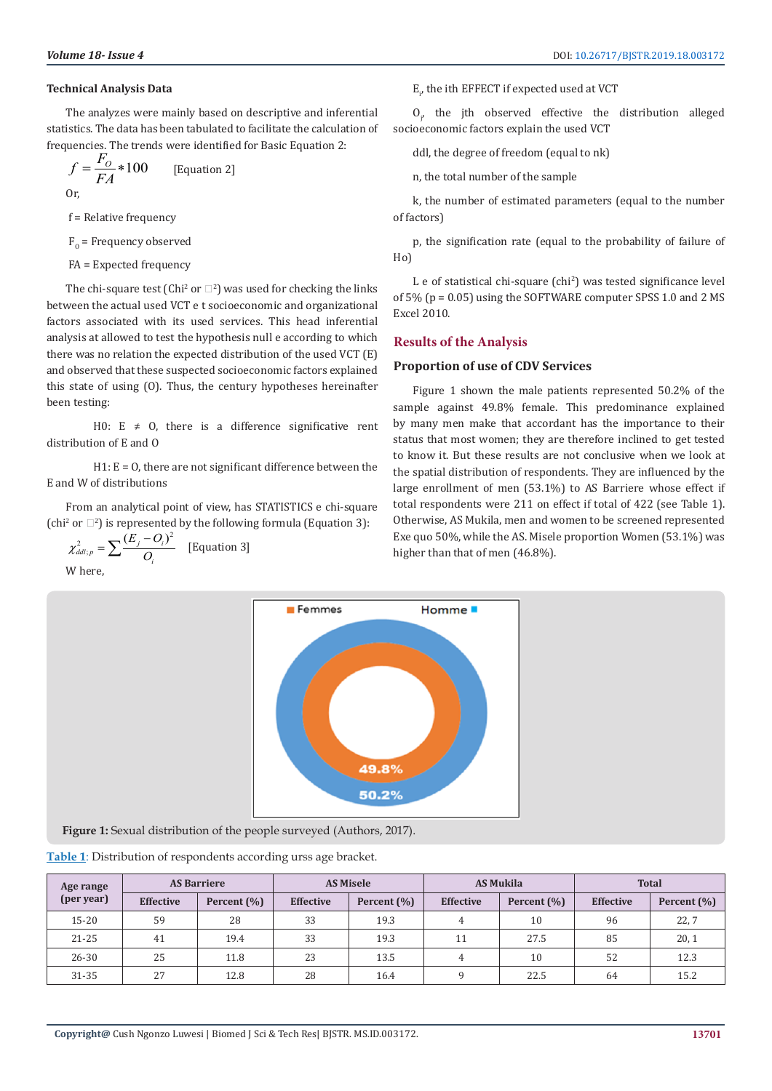### **Technical Analysis Data**

The analyzes were mainly based on descriptive and inferential statistics. The data has been tabulated to facilitate the calculation of frequencies. The trends were identified for Basic Equation 2:

$$
f = \frac{F_o}{FA} * 100
$$
 [Equation 2]  
Or,

f = Relative frequency

 $F_{o}$  = Frequency observed

FA = Expected frequency

The chi-square test (Chi<sup>2</sup> or  $\square$ <sup>2</sup>) was used for checking the links between the actual used VCT e t socioeconomic and organizational factors associated with its used services. This head inferential analysis at allowed to test the hypothesis null e according to which there was no relation the expected distribution of the used VCT (E) and observed that these suspected socioeconomic factors explained this state of using (O). Thus, the century hypotheses hereinafter been testing:

H0: E  $\neq$  0, there is a difference significative rent distribution of E and O

 $H1: E = 0$ , there are not significant difference between the E and W of distributions

From an analytical point of view, has STATISTICS e chi-square (chi<sup>2</sup> or  $\Box$ <sup>2</sup>) is represented by the following formula (Equation 3):

$$
\chi_{ddl;p}^2 = \sum \frac{(E_j - O_i)^2}{O_i}
$$
 [Equation 3]  
Where,

 $\text{E}_{p}$  the ith EFFECT if expected used at VCT

 $O_{\text{p}}$  the jth observed effective the distribution alleged socioeconomic factors explain the used VCT

ddl, the degree of freedom (equal to nk)

n, the total number of the sample

k, the number of estimated parameters (equal to the number of factors)

p, the signification rate (equal to the probability of failure of Ho)

L e of statistical chi-square (chi<sup>2</sup>) was tested significance level of 5% (p = 0.05) using the SOFTWARE computer SPSS 1.0 and 2 MS Excel 2010.

# **Results of the Analysis**

# **Proportion of use of CDV Services**

Figure 1 shown the male patients represented 50.2% of the sample against 49.8% female. This predominance explained by many men make that accordant has the importance to their status that most women; they are therefore inclined to get tested to know it. But these results are not conclusive when we look at the spatial distribution of respondents. They are influenced by the large enrollment of men (53.1%) to AS Barriere whose effect if total respondents were 211 on effect if total of 422 (see Table 1). Otherwise, AS Mukila, men and women to be screened represented Exe quo 50%, while the AS. Misele proportion Women (53.1%) was higher than that of men (46.8%).



**Figure 1:** Sexual distribution of the people surveyed (Authors, 2017).

| Table 1: Distribution of respondents according urss age bracket. |  |  |
|------------------------------------------------------------------|--|--|
|                                                                  |  |  |

| Age range  | <b>AS Barriere</b> |             | <b>AS Misele</b> |             | <b>AS Mukila</b> |                 | <b>Total</b>     |                 |
|------------|--------------------|-------------|------------------|-------------|------------------|-----------------|------------------|-----------------|
| (per year) | <b>Effective</b>   | Percent (%) | <b>Effective</b> | Percent (%) | <b>Effective</b> | Percent $(\% )$ | <b>Effective</b> | Percent $(\% )$ |
| $15 - 20$  | 59                 | 28          | 33               | 19.3        |                  | 10              | 96               | 22,7            |
| $21 - 25$  | 41                 | 19.4        | 33               | 19.3        |                  | 27.5            | 85               | 20, 1           |
| $26 - 30$  | 25                 | 11.8        | 23               | 13.5        |                  | 10              | 52               | 12.3            |
| 31-35      | 27                 | 12.8        | 28               | 16.4        |                  | 22.5            | 64               | 15.2            |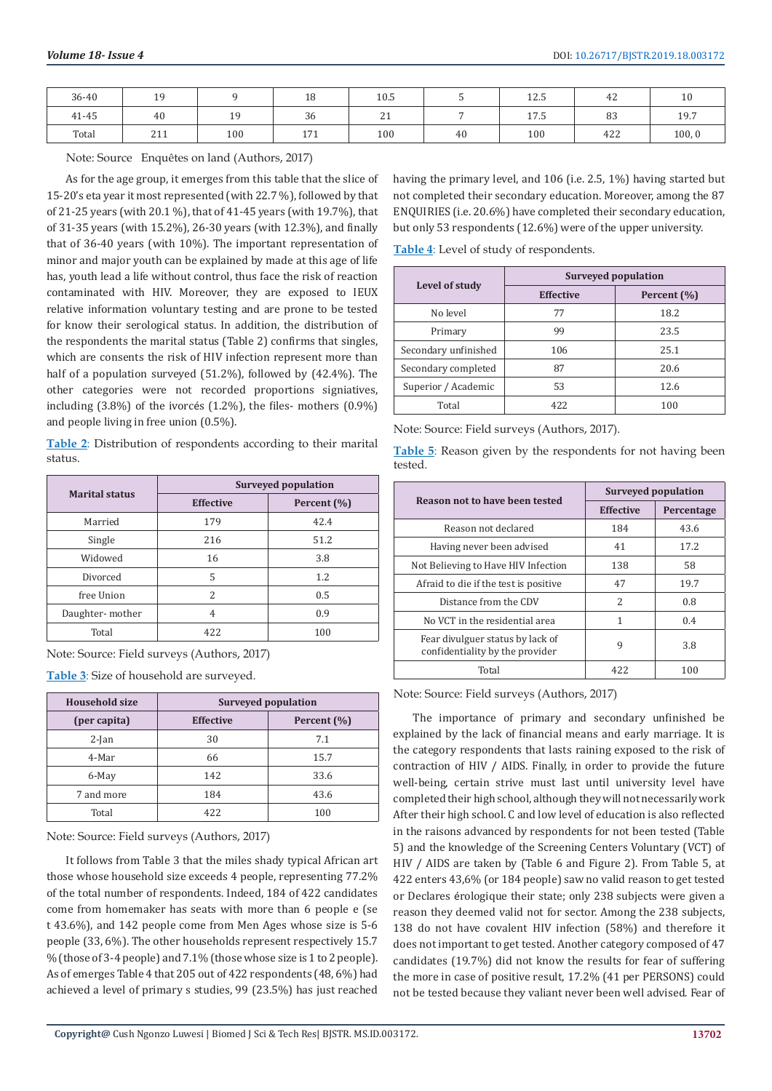| 36-40 | 19  |                            | 18              | 10.5         |    | 1つ に<br>14.J | 42  | 10     |
|-------|-----|----------------------------|-----------------|--------------|----|--------------|-----|--------|
| 41-45 | 40  | 1 <sub>0</sub><br><b>+</b> | $\Omega$<br>-36 | $\sim$<br>41 |    | 17 E<br>17.J | 83  | 19.7   |
| Total | 211 | 100                        | 171<br>1/1      | 100          | 40 | 100          | 422 | 100, 0 |

Note: Source Enquêtes on land (Authors, 2017)

As for the age group, it emerges from this table that the slice of 15-20's eta year it most represented (with 22.7 %), followed by that of 21-25 years (with 20.1 %), that of 41-45 years (with 19.7%), that of 31-35 years (with 15.2%), 26-30 years (with 12.3%), and finally that of 36-40 years (with 10%). The important representation of minor and major youth can be explained by made at this age of life has, youth lead a life without control, thus face the risk of reaction contaminated with HIV. Moreover, they are exposed to IEUX relative information voluntary testing and are prone to be tested for know their serological status. In addition, the distribution of the respondents the marital status (Table 2) confirms that singles, which are consents the risk of HIV infection represent more than half of a population surveyed (51.2%), followed by (42.4%). The other categories were not recorded proportions signiatives, including (3.8%) of the ivorcés (1.2%), the files- mothers (0.9%) and people living in free union (0.5%).

**Table 2**: Distribution of respondents according to their marital status.

| <b>Marital status</b> | <b>Surveyed population</b> |             |  |  |
|-----------------------|----------------------------|-------------|--|--|
|                       | <b>Effective</b>           | Percent (%) |  |  |
| Married               | 179                        | 42.4        |  |  |
| Single                | 216                        | 51.2        |  |  |
| Widowed               | 16                         | 3.8         |  |  |
| Divorced              | 5                          | 1.2         |  |  |
| free Union            | $\mathcal{P}$              | 0.5         |  |  |
| Daughter-mother       | 4                          | 0.9         |  |  |
| Total                 | 422                        | 100         |  |  |

Note: Source: Field surveys (Authors, 2017)

**Table 3**: Size of household are surveyed.

| <b>Household size</b> | Surveyed population             |      |  |
|-----------------------|---------------------------------|------|--|
| (per capita)          | <b>Effective</b><br>Percent (%) |      |  |
| $2$ -Jan              | 30                              | 7.1  |  |
| 4-Mar                 | 66                              | 15.7 |  |
| 6-May                 | 142                             | 33.6 |  |
| 7 and more            | 184                             | 43.6 |  |
| Total                 | 422                             | 100  |  |

Note: Source: Field surveys (Authors, 2017)

It follows from Table 3 that the miles shady typical African art those whose household size exceeds 4 people, representing 77.2% of the total number of respondents. Indeed, 184 of 422 candidates come from homemaker has seats with more than 6 people e (se t 43.6%), and 142 people come from Men Ages whose size is 5-6 people (33, 6%). The other households represent respectively 15.7 % (those of 3-4 people) and 7.1% (those whose size is 1 to 2 people). As of emerges Table 4 that 205 out of 422 respondents (48, 6%) had achieved a level of primary s studies, 99 (23.5%) has just reached

having the primary level, and 106 (i.e. 2.5, 1%) having started but not completed their secondary education. Moreover, among the 87 ENQUIRIES (i.e. 20.6%) have completed their secondary education, but only 53 respondents (12.6%) were of the upper university.

**Table 4**: Level of study of respondents.

|                      | Surveyed population |             |  |  |
|----------------------|---------------------|-------------|--|--|
| Level of study       | <b>Effective</b>    | Percent (%) |  |  |
| No level             | 77                  | 18.2        |  |  |
| Primary              | 99                  | 23.5        |  |  |
| Secondary unfinished | 106                 | 25.1        |  |  |
| Secondary completed  | 87                  | 20.6        |  |  |
| Superior / Academic  | 53                  | 12.6        |  |  |
| Total                | 422                 | 100         |  |  |

Note: Source: Field surveys (Authors, 2017).

**Table 5**: Reason given by the respondents for not having been tested.

| Reason not to have been tested                                      | <b>Surveyed population</b> |            |  |
|---------------------------------------------------------------------|----------------------------|------------|--|
|                                                                     | <b>Effective</b>           | Percentage |  |
| Reason not declared                                                 | 184                        | 43.6       |  |
| Having never been advised                                           | 41                         | 17.2       |  |
| Not Believing to Have HIV Infection                                 | 138                        | 58         |  |
| Afraid to die if the test is positive                               | 47                         | 19.7       |  |
| Distance from the CDV                                               | 2                          | 0.8        |  |
| No VCT in the residential area                                      | 1                          | 0.4        |  |
| Fear divulguer status by lack of<br>confidentiality by the provider | 9                          | 3.8        |  |
| Total                                                               | 422                        | 100        |  |

Note: Source: Field surveys (Authors, 2017)

The importance of primary and secondary unfinished be explained by the lack of financial means and early marriage. It is the category respondents that lasts raining exposed to the risk of contraction of HIV / AIDS. Finally, in order to provide the future well-being, certain strive must last until university level have completed their high school, although they will not necessarily work After their high school. C and low level of education is also reflected in the raisons advanced by respondents for not been tested (Table 5) and the knowledge of the Screening Centers Voluntary (VCT) of HIV / AIDS are taken by (Table 6 and Figure 2). From Table 5, at 422 enters 43,6% (or 184 people) saw no valid reason to get tested or Declares érologique their state; only 238 subjects were given a reason they deemed valid not for sector. Among the 238 subjects, 138 do not have covalent HIV infection (58%) and therefore it does not important to get tested. Another category composed of 47 candidates (19.7%) did not know the results for fear of suffering the more in case of positive result, 17.2% (41 per PERSONS) could not be tested because they valiant never been well advised. Fear of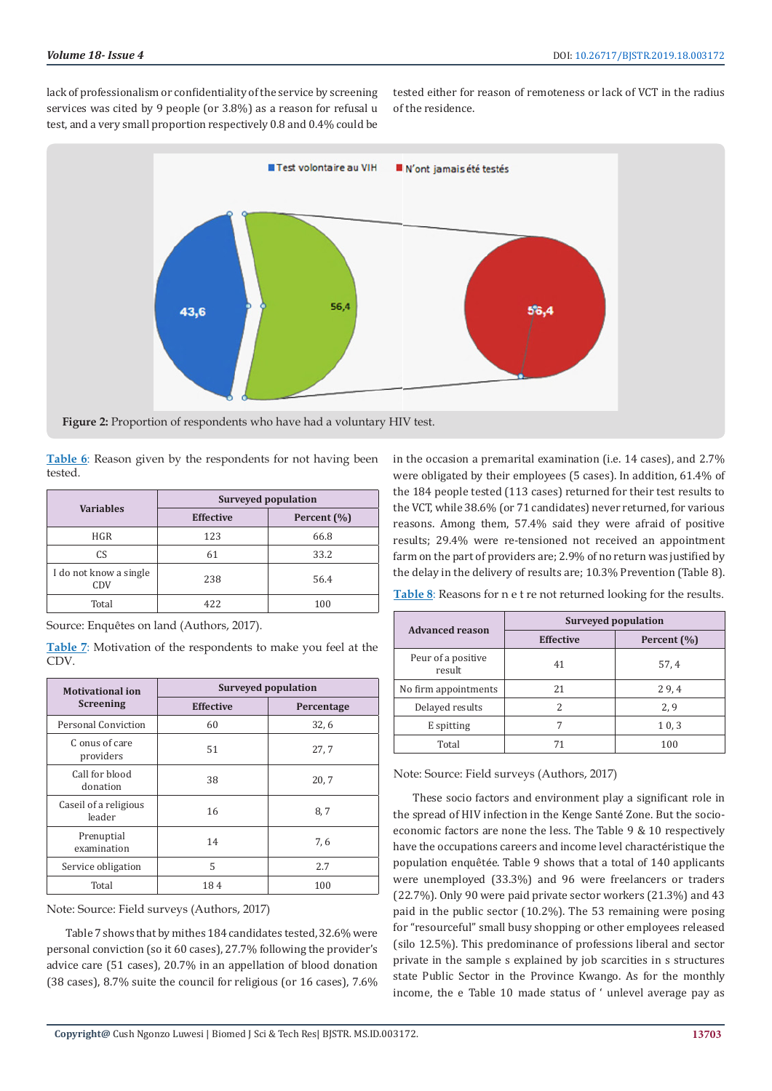lack of professionalism or confidentiality of the service by screening services was cited by 9 people (or 3.8%) as a reason for refusal u test, and a very small proportion respectively 0.8 and 0.4% could be

tested either for reason of remoteness or lack of VCT in the radius of the residence.



**Figure 2:** Proportion of respondents who have had a voluntary HIV test.

**Table 6**: Reason given by the respondents for not having been tested.

| <b>Variables</b>              | Surveyed population |             |  |  |
|-------------------------------|---------------------|-------------|--|--|
|                               | <b>Effective</b>    | Percent (%) |  |  |
| <b>HGR</b>                    | 123                 | 66.8        |  |  |
| C.S                           | 61                  | 33.2        |  |  |
| I do not know a single<br>CDV | 238                 | 56.4        |  |  |
| Total                         | 422                 | 100         |  |  |

Source: Enquêtes on land (Authors, 2017).

**Table 7**: Motivation of the respondents to make you feel at the CDV.

| <b>Motivational ion</b>         | <b>Surveyed population</b> |            |  |  |
|---------------------------------|----------------------------|------------|--|--|
| <b>Screening</b>                | <b>Effective</b>           | Percentage |  |  |
| Personal Conviction             | 60                         | 32.6       |  |  |
| C onus of care<br>providers     | 51                         | 27.7       |  |  |
| Call for blood<br>donation      | 38                         | 20.7       |  |  |
| Caseil of a religious<br>leader | 16                         | 8,7        |  |  |
| Prenuptial<br>examination       | 14                         | 7,6        |  |  |
| Service obligation              | 5                          | 2.7        |  |  |
| Total                           | 184                        | 100        |  |  |

Note: Source: Field surveys (Authors, 2017)

Table 7 shows that by mithes 184 candidates tested, 32.6% were personal conviction (so it 60 cases), 27.7% following the provider's advice care (51 cases), 20.7% in an appellation of blood donation (38 cases), 8.7% suite the council for religious (or 16 cases), 7.6% in the occasion a premarital examination (i.e. 14 cases), and 2.7% were obligated by their employees (5 cases). In addition, 61.4% of the 184 people tested (113 cases) returned for their test results to the VCT, while 38.6% (or 71 candidates) never returned, for various reasons. Among them, 57.4% said they were afraid of positive results; 29.4% were re-tensioned not received an appointment farm on the part of providers are; 2.9% of no return was justified by the delay in the delivery of results are; 10.3% Prevention (Table 8).

**Table 8**: Reasons for n e t re not returned looking for the results.

| <b>Advanced reason</b>       | Surveyed population |             |  |  |
|------------------------------|---------------------|-------------|--|--|
|                              | <b>Effective</b>    | Percent (%) |  |  |
| Peur of a positive<br>result | 41                  | 57.4        |  |  |
| No firm appointments         | 21                  | 29.4        |  |  |
| Delayed results              | 2                   | 2,9         |  |  |
| E spitting                   |                     | 10,3        |  |  |
| Total                        |                     | 100         |  |  |

Note: Source: Field surveys (Authors, 2017)

These socio factors and environment play a significant role in the spread of HIV infection in the Kenge Santé Zone. But the socioeconomic factors are none the less. The Table 9 & 10 respectively have the occupations careers and income level charactéristique the population enquêtée. Table 9 shows that a total of 140 applicants were unemployed (33.3%) and 96 were freelancers or traders (22.7%). Only 90 were paid private sector workers (21.3%) and 43 paid in the public sector (10.2%). The 53 remaining were posing for "resourceful" small busy shopping or other employees released (silo 12.5%). This predominance of professions liberal and sector private in the sample s explained by job scarcities in s structures state Public Sector in the Province Kwango. As for the monthly income, the e Table 10 made status of ' unlevel average pay as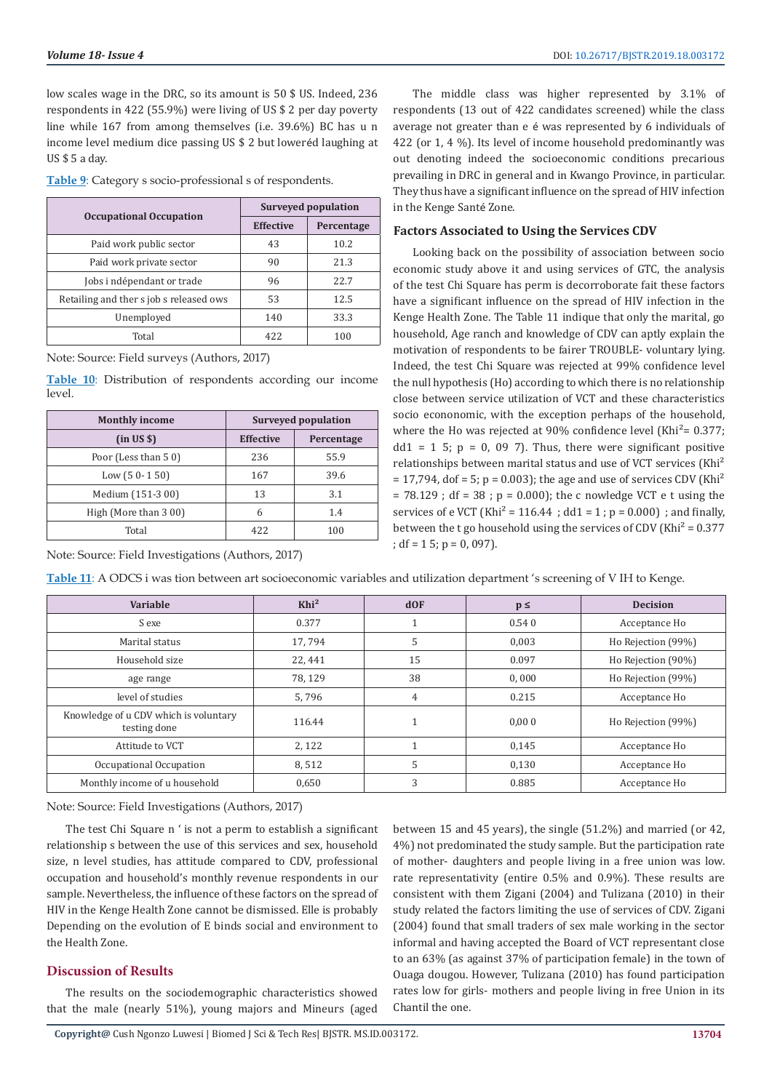low scales wage in the DRC, so its amount is 50 \$ US. Indeed, 236 respondents in 422 (55.9%) were living of US \$ 2 per day poverty line while 167 from among themselves (i.e. 39.6%) BC has u n income level medium dice passing US \$ 2 but loweréd laughing at US \$ 5 a day.

**Table 9**: Category s socio-professional s of respondents.

|                                         | Surveyed population |            |  |
|-----------------------------------------|---------------------|------------|--|
| <b>Occupational Occupation</b>          | <b>Effective</b>    | Percentage |  |
| Paid work public sector                 | 43                  | 10.2       |  |
| Paid work private sector                | 90                  | 21.3       |  |
| Jobs i ndépendant or trade              | 96                  | 22.7       |  |
| Retailing and ther s job s released ows | 53                  | 12.5       |  |
| Unemployed                              | 140                 | 33.3       |  |
| Total                                   | 422                 | 100        |  |

Note: Source: Field surveys (Authors, 2017)

**Table 10**: Distribution of respondents according our income level.

| <b>Monthly income</b> | <b>Surveyed population</b> |            |  |
|-----------------------|----------------------------|------------|--|
| (in US \$)            | <b>Effective</b>           | Percentage |  |
| Poor (Less than 50)   | 236                        | 55.9       |  |
| Low $(50-150)$        | 167                        | 39.6       |  |
| Medium (151-3 00)     | 13                         | 3.1        |  |
| High (More than 3 00) | 6                          | 1.4        |  |
| Total                 | 422                        | 100        |  |

Note: Source: Field Investigations (Authors, 2017)

The middle class was higher represented by 3.1% of respondents (13 out of 422 candidates screened) while the class average not greater than e é was represented by 6 individuals of 422 (or 1, 4 %). Its level of income household predominantly was out denoting indeed the socioeconomic conditions precarious prevailing in DRC in general and in Kwango Province, in particular. They thus have a significant influence on the spread of HIV infection in the Kenge Santé Zone.

# **Factors Associated to Using the Services CDV**

Looking back on the possibility of association between socio economic study above it and using services of GTC, the analysis of the test Chi Square has perm is decorroborate fait these factors have a significant influence on the spread of HIV infection in the Kenge Health Zone. The Table 11 indique that only the marital, go household, Age ranch and knowledge of CDV can aptly explain the motivation of respondents to be fairer TROUBLE- voluntary lying. Indeed, the test Chi Square was rejected at 99% confidence level the null hypothesis (Ho) according to which there is no relationship close between service utilization of VCT and these characteristics socio econonomic, with the exception perhaps of the household, where the Ho was rejected at 90% confidence level (Khi<sup>2</sup>=  $0.377$ ;  $dd1 = 1$  5;  $p = 0$ , 09 7). Thus, there were significant positive relationships between marital status and use of VCT services (Khi<sup>2</sup>  $= 17,794$ , dof  $= 5$ ; p  $= 0.003$ ); the age and use of services CDV (Khi<sup>2</sup>)  $= 78.129$ ; df  $= 38$ ;  $p = 0.000$ ; the c nowledge VCT e t using the services of e VCT (Khi<sup>2</sup> = 116.44 ; dd1 = 1; p = 0.000) ; and finally, between the t go household using the services of CDV (Khi<sup>2</sup> =  $0.377$ ) ; df = 1 5; p = 0, 097).

**Table 11**: A ODCS i was tion between art socioeconomic variables and utilization department 's screening of V IH to Kenge.

| Variable                                              | Khi <sup>2</sup> | $d$ OF | $p \leq$ | <b>Decision</b>    |
|-------------------------------------------------------|------------------|--------|----------|--------------------|
| S exe                                                 | 0.377            |        | 0.540    | Acceptance Ho      |
| Marital status                                        | 17,794           | 5      | 0,003    | Ho Rejection (99%) |
| Household size                                        | 22,441           | 15     | 0.097    | Ho Rejection (90%) |
| age range                                             | 78.129           | 38     | 0,000    | Ho Rejection (99%) |
| level of studies                                      | 5,796            | 4      | 0.215    | Acceptance Ho      |
| Knowledge of u CDV which is voluntary<br>testing done | 116.44           |        | 0.000    | Ho Rejection (99%) |
| Attitude to VCT                                       | 2,122            |        | 0,145    | Acceptance Ho      |
| Occupational Occupation                               | 8,512            | 5      | 0.130    | Acceptance Ho      |
| Monthly income of u household                         | 0,650            | 3      | 0.885    | Acceptance Ho      |

Note: Source: Field Investigations (Authors, 2017)

The test Chi Square n ' is not a perm to establish a significant relationship s between the use of this services and sex, household size, n level studies, has attitude compared to CDV, professional occupation and household's monthly revenue respondents in our sample. Nevertheless, the influence of these factors on the spread of HIV in the Kenge Health Zone cannot be dismissed. Elle is probably Depending on the evolution of E binds social and environment to the Health Zone.

# **Discussion of Results**

The results on the sociodemographic characteristics showed that the male (nearly 51%), young majors and Mineurs (aged between 15 and 45 years), the single (51.2%) and married (or 42, 4%) not predominated the study sample. But the participation rate of mother- daughters and people living in a free union was low. rate representativity (entire 0.5% and 0.9%). These results are consistent with them Zigani (2004) and Tulizana (2010) in their study related the factors limiting the use of services of CDV. Zigani (2004) found that small traders of sex male working in the sector informal and having accepted the Board of VCT representant close to an 63% (as against 37% of participation female) in the town of Ouaga dougou. However, Tulizana (2010) has found participation rates low for girls- mothers and people living in free Union in its Chantil the one.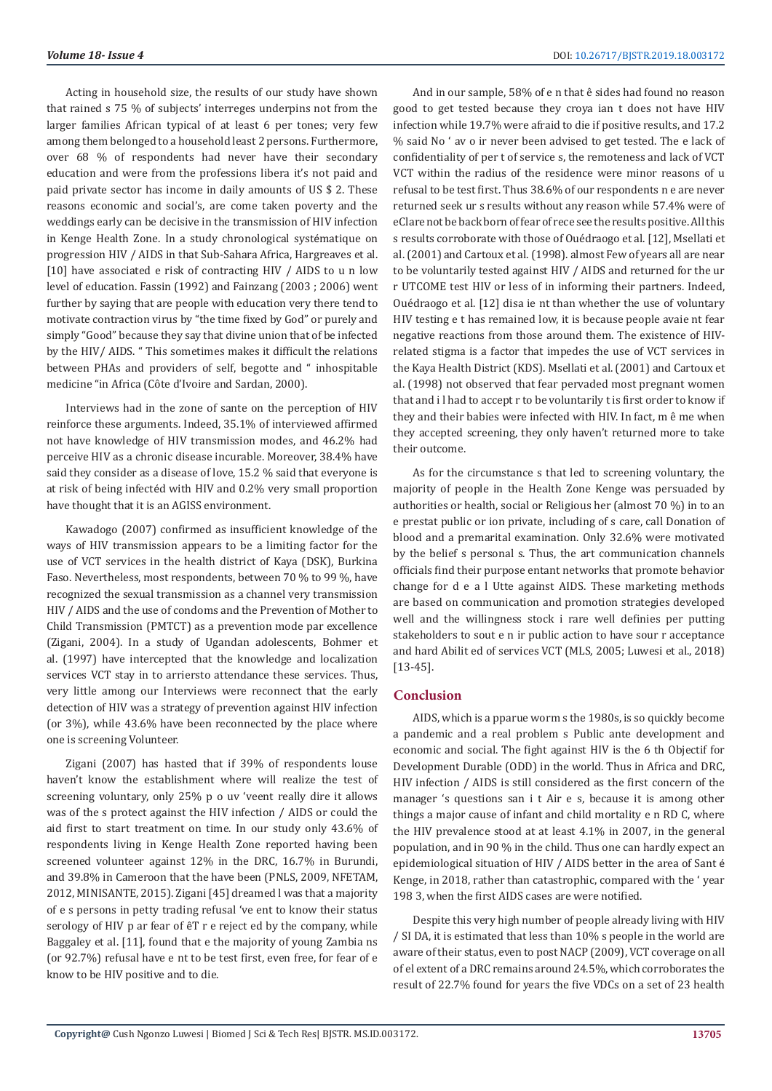Acting in household size, the results of our study have shown that rained s 75 % of subjects' interreges underpins not from the larger families African typical of at least 6 per tones; very few among them belonged to a household least 2 persons. Furthermore, over 68 % of respondents had never have their secondary education and were from the professions libera it's not paid and paid private sector has income in daily amounts of US \$ 2. These reasons economic and social's, are come taken poverty and the weddings early can be decisive in the transmission of HIV infection in Kenge Health Zone. In a study chronological systématique on progression HIV / AIDS in that Sub-Sahara Africa, Hargreaves et al. [10] have associated e risk of contracting HIV / AIDS to u n low level of education. Fassin (1992) and Fainzang (2003 ; 2006) went further by saying that are people with education very there tend to motivate contraction virus by "the time fixed by God" or purely and simply "Good" because they say that divine union that of be infected by the HIV/ AIDS. " This sometimes makes it difficult the relations between PHAs and providers of self, begotte and " inhospitable medicine "in Africa (Côte d'Ivoire and Sardan, 2000).

Interviews had in the zone of sante on the perception of HIV reinforce these arguments. Indeed, 35.1% of interviewed affirmed not have knowledge of HIV transmission modes, and 46.2% had perceive HIV as a chronic disease incurable. Moreover, 38.4% have said they consider as a disease of love, 15.2 % said that everyone is at risk of being infectéd with HIV and 0.2% very small proportion have thought that it is an AGISS environment.

Kawadogo (2007) confirmed as insufficient knowledge of the ways of HIV transmission appears to be a limiting factor for the use of VCT services in the health district of Kaya (DSK), Burkina Faso. Nevertheless, most respondents, between 70 % to 99 %, have recognized the sexual transmission as a channel very transmission HIV / AIDS and the use of condoms and the Prevention of Mother to Child Transmission (PMTCT) as a prevention mode par excellence (Zigani, 2004). In a study of Ugandan adolescents, Bohmer et al. (1997) have intercepted that the knowledge and localization services VCT stay in to arriersto attendance these services. Thus, very little among our Interviews were reconnect that the early detection of HIV was a strategy of prevention against HIV infection (or 3%), while 43.6% have been reconnected by the place where one is screening Volunteer.

Zigani (2007) has hasted that if 39% of respondents louse haven't know the establishment where will realize the test of screening voluntary, only 25% p o uv 'veent really dire it allows was of the s protect against the HIV infection / AIDS or could the aid first to start treatment on time. In our study only 43.6% of respondents living in Kenge Health Zone reported having been screened volunteer against 12% in the DRC, 16.7% in Burundi, and 39.8% in Cameroon that the have been (PNLS, 2009, NFETAM, 2012, MINISANTE, 2015). Zigani [45] dreamed l was that a majority of e s persons in petty trading refusal 've ent to know their status serology of HIV p ar fear of êT r e reject ed by the company, while Baggaley et al. [11], found that e the majority of young Zambia ns (or 92.7%) refusal have e nt to be test first, even free, for fear of e know to be HIV positive and to die.

And in our sample, 58% of e n that ê sides had found no reason good to get tested because they croya ian t does not have HIV infection while 19.7% were afraid to die if positive results, and 17.2 % said No ' av o ir never been advised to get tested. The e lack of confidentiality of per t of service s, the remoteness and lack of VCT VCT within the radius of the residence were minor reasons of u refusal to be test first. Thus 38.6% of our respondents n e are never returned seek ur s results without any reason while 57.4% were of eClare not be back born of fear of rece see the results positive. All this s results corroborate with those of Ouédraogo et al. [12], Msellati et al. (2001) and Cartoux et al. (1998). almost Few of years all are near to be voluntarily tested against HIV / AIDS and returned for the ur r UTCOME test HIV or less of in informing their partners. Indeed, Ouédraogo et al. [12] disa ie nt than whether the use of voluntary HIV testing e t has remained low, it is because people avaie nt fear negative reactions from those around them. The existence of HIVrelated stigma is a factor that impedes the use of VCT services in the Kaya Health District (KDS). Msellati et al. (2001) and Cartoux et al. (1998) not observed that fear pervaded most pregnant women that and i l had to accept r to be voluntarily t is first order to know if they and their babies were infected with HIV. In fact, m ê me when they accepted screening, they only haven't returned more to take their outcome.

As for the circumstance s that led to screening voluntary, the majority of people in the Health Zone Kenge was persuaded by authorities or health, social or Religious her (almost 70 %) in to an e prestat public or ion private, including of s care, call Donation of blood and a premarital examination. Only 32.6% were motivated by the belief s personal s. Thus, the art communication channels officials find their purpose entant networks that promote behavior change for d e a l Utte against AIDS. These marketing methods are based on communication and promotion strategies developed well and the willingness stock i rare well definies per putting stakeholders to sout e n ir public action to have sour r acceptance and hard Abilit ed of services VCT (MLS, 2005; Luwesi et al., 2018) [13-45].

### **Conclusion**

AIDS, which is a pparue worm s the 1980s, is so quickly become a pandemic and a real problem s Public ante development and economic and social. The fight against HIV is the 6 th Objectif for Development Durable (ODD) in the world. Thus in Africa and DRC, HIV infection / AIDS is still considered as the first concern of the manager 's questions san i t Air e s, because it is among other things a major cause of infant and child mortality e n RD C, where the HIV prevalence stood at at least 4.1% in 2007, in the general population, and in 90 % in the child. Thus one can hardly expect an epidemiological situation of HIV / AIDS better in the area of Sant é Kenge, in 2018, rather than catastrophic, compared with the ' year 198 3, when the first AIDS cases are were notified.

Despite this very high number of people already living with HIV / SI DA, it is estimated that less than 10% s people in the world are aware of their status, even to post NACP (2009), VCT coverage on all of el extent of a DRC remains around 24.5%, which corroborates the result of 22.7% found for years the five VDCs on a set of 23 health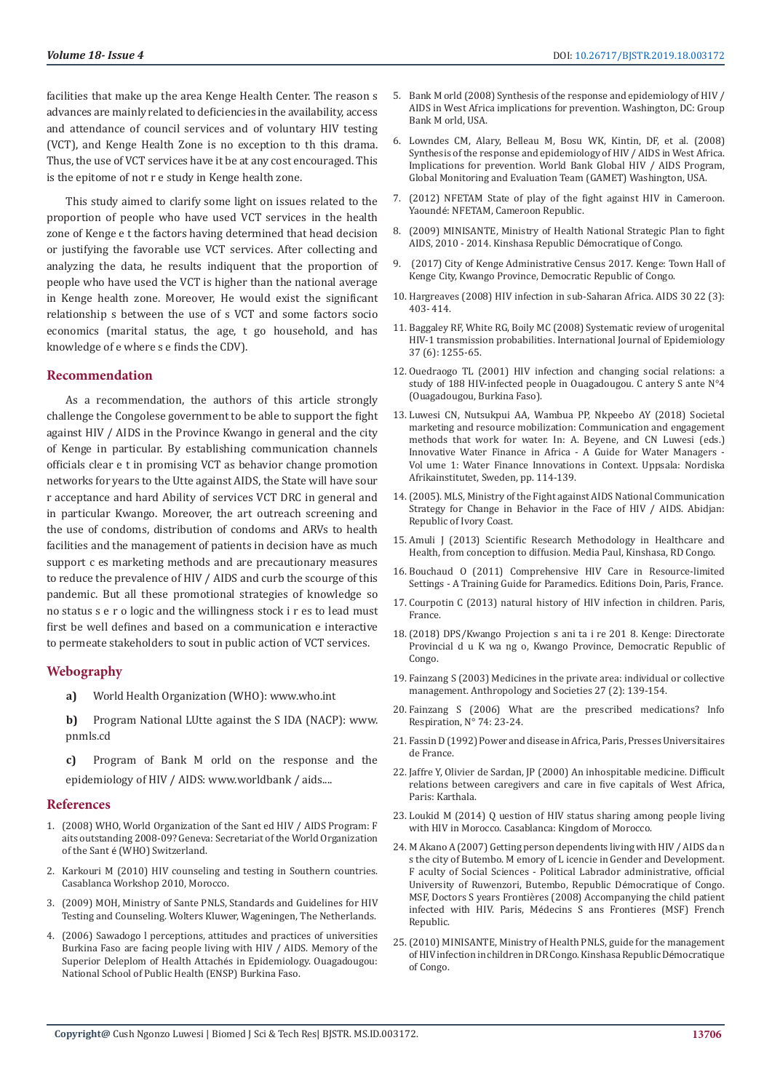facilities that make up the area Kenge Health Center. The reason s advances are mainly related to deficiencies in the availability, access and attendance of council services and of voluntary HIV testing (VCT), and Kenge Health Zone is no exception to th this drama. Thus, the use of VCT services have it be at any cost encouraged. This is the epitome of not r e study in Kenge health zone.

This study aimed to clarify some light on issues related to the proportion of people who have used VCT services in the health zone of Kenge e t the factors having determined that head decision or justifying the favorable use VCT services. After collecting and analyzing the data, he results indiquent that the proportion of people who have used the VCT is higher than the national average in Kenge health zone. Moreover, He would exist the significant relationship s between the use of s VCT and some factors socio economics (marital status, the age, t go household, and has knowledge of e where s e finds the CDV).

# **Recommendation**

As a recommendation, the authors of this article strongly challenge the Congolese government to be able to support the fight against HIV / AIDS in the Province Kwango in general and the city of Kenge in particular. By establishing communication channels officials clear e t in promising VCT as behavior change promotion networks for years to the Utte against AIDS, the State will have sour r acceptance and hard Ability of services VCT DRC in general and in particular Kwango. Moreover, the art outreach screening and the use of condoms, distribution of condoms and ARVs to health facilities and the management of patients in decision have as much support c es marketing methods and are precautionary measures to reduce the prevalence of HIV / AIDS and curb the scourge of this pandemic. But all these promotional strategies of knowledge so no status s e r o logic and the willingness stock i r es to lead must first be well defines and based on a communication e interactive to permeate stakeholders to sout in public action of VCT services.

#### **Webography**

- **a)** World Health Organization (WHO): www.who.int
- **b)** Program National LUtte against the S IDA (NACP): www. pnmls.cd
- **c)** Program of Bank M orld on the response and the epidemiology of HIV / AIDS: www.worldbank / aids....

#### **References**

- 1. (2008) WHO, World Organization of the Sant ed HIV / AIDS Program: F aits outstanding 2008-09? Geneva: Secretariat of the World Organization of the Sant é (WHO) Switzerland.
- 2. Karkouri M (2010) HIV counseling and testing in Southern countries. Casablanca Workshop 2010, Morocco.
- 3. (2009) MOH, Ministry of Sante PNLS, Standards and Guidelines for HIV Testing and Counseling. Wolters Kluwer, Wageningen, The Netherlands.
- 4. (2006) Sawadogo l perceptions, attitudes and practices of universities Burkina Faso are facing people living with HIV / AIDS. Memory of the Superior Deleplom of Health Attachés in Epidemiology. Ouagadougou: National School of Public Health (ENSP) Burkina Faso.
- 5. Bank M orld (2008) Synthesis of the response and epidemiology of HIV / AIDS in West Africa implications for prevention. Washington, DC: Group Bank M orld, USA.
- 6. Lowndes CM, Alary, Belleau M, Bosu WK, Kintin, DF, et al. (2008) Synthesis of the response and epidemiology of HIV / AIDS in West Africa. Implications for prevention. World Bank Global HIV / AIDS Program, Global Monitoring and Evaluation Team (GAMET) Washington, USA.
- 7. (2012) NFETAM State of play of the fight against HIV in Cameroon. Yaoundé: NFETAM, Cameroon Republic.
- 8. (2009) MINISANTE, Ministry of Health National Strategic Plan to fight AIDS, 2010 - 2014. Kinshasa Republic Démocratique of Congo.
- 9. (2017) City of Kenge Administrative Census 2017. Kenge: Town Hall of Kenge City, Kwango Province, Democratic Republic of Congo.
- 10. Hargreaves (2008) HIV infection in sub-Saharan Africa. AIDS 30 22 (3): 403- 414.
- 11. [Baggaley RF, White RG, Boily MC \(2008\) Systematic review of urogenital](https://www.ncbi.nlm.nih.gov/pmc/articles/PMC2638872/) [HIV-1 transmission probabilities. International Journal of Epidemiology](https://www.ncbi.nlm.nih.gov/pmc/articles/PMC2638872/) [37 \(6\): 1255-65.](https://www.ncbi.nlm.nih.gov/pmc/articles/PMC2638872/)
- 12. Ouedraogo TL (2001) HIV infection and changing social relations: a study of 188 HIV-infected people in Ouagadougou. C antery S ante N°4 (Ouagadougou, Burkina Faso).
- 13. Luwesi CN, Nutsukpui AA, Wambua PP, Nkpeebo AY (2018) Societal marketing and resource mobilization: Communication and engagement methods that work for water. In: A. Beyene, and CN Luwesi (eds.) Innovative Water Finance in Africa - A Guide for Water Managers - Vol ume 1: Water Finance Innovations in Context. Uppsala: Nordiska Afrikainstitutet, Sweden, pp. 114-139.
- 14.(2005). MLS, Ministry of the Fight against AIDS National Communication Strategy for Change in Behavior in the Face of HIV / AIDS. Abidjan: Republic of Ivory Coast.
- 15. Amuli J (2013) Scientific Research Methodology in Healthcare and Health, from conception to diffusion. Media Paul, Kinshasa, RD Congo.
- 16. Bouchaud O (2011) Comprehensive HIV Care in Resource-limited Settings - A Training Guide for Paramedics. Editions Doin, Paris, France.
- 17. Courpotin C (2013) natural history of HIV infection in children. Paris, France.
- 18.(2018) DPS/Kwango Projection s ani ta i re 201 8. Kenge: Directorate Provincial d u K wa ng o, Kwango Province, Democratic Republic of Congo.
- 19. Fainzang S (2003) Medicines in the private area: individual or collective management. Anthropology and Societies 27 (2): 139-154.
- 20. Fainzang S (2006) What are the prescribed medications? Info Respiration, N° 74: 23-24.
- 21. Fassin D (1992) Power and disease in Africa, Paris, Presses Universitaires de France.
- 22. Jaffre Y, Olivier de Sardan, JP (2000) An inhospitable medicine. Difficult relations between caregivers and care in five capitals of West Africa, Paris: Karthala.
- 23. Loukid M (2014) Q uestion of HIV status sharing among people living with HIV in Morocco. Casablanca: Kingdom of Morocco.
- 24. M Akano A (2007) Getting person dependents living with HIV / AIDS da n s the city of Butembo. M emory of L icencie in Gender and Development. F aculty of Social Sciences - Political Labrador administrative, official University of Ruwenzori, Butembo, Republic Démocratique of Congo. MSF, Doctors S years Frontières (2008) Accompanying the child patient infected with HIV. Paris, Médecins S ans Frontieres (MSF) French Republic.
- 25.(2010) MINISANTE, Ministry of Health PNLS, guide for the management of HIV infection in children in DR Congo. Kinshasa Republic Démocratique of Congo.